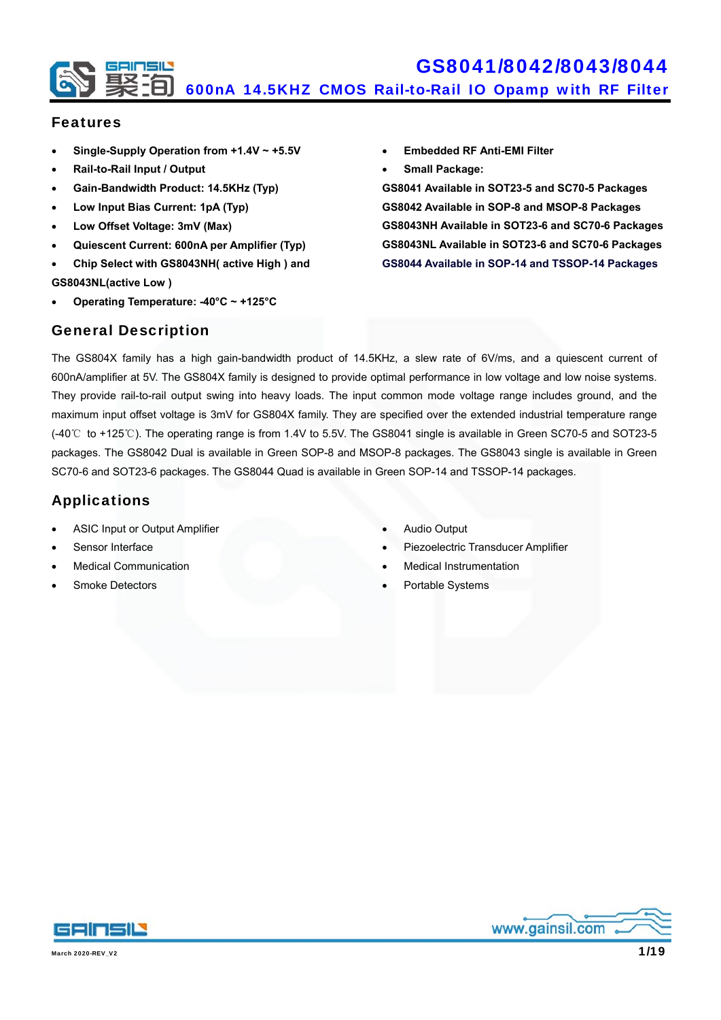

#### Features

- **Single-Supply Operation from +1.4V ~ +5.5V**
- **Rail-to-Rail Input / Output**
- **Gain-Bandwidth Product: 14.5KHz (Typ)**
- **Low Input Bias Current: 1pA (Typ)**
- **Low Offset Voltage: 3mV (Max)**
- **Quiescent Current: 600nA per Amplifier (Typ)**
- **Chip Select with GS8043NH( active High ) and GS8043NL(active Low )**
- **Operating Temperature: -40°C ~ +125°C**
- **Embedded RF Anti-EMI Filter**
- **Small Package:**

**GS8041 Available in SOT23-5 and SC70-5 Packages GS8042 Available in SOP-8 and MSOP-8 Packages GS8043NH Available in SOT23-6 and SC70-6 Packages GS8043NL Available in SOT23-6 and SC70-6 Packages GS8044 Available in SOP-14 and TSSOP-14 Packages** 

#### General Description

The GS804X family has a high gain-bandwidth product of 14.5KHz, a slew rate of 6V/ms, and a quiescent current of 600nA/amplifier at 5V. The GS804X family is designed to provide optimal performance in low voltage and low noise systems. They provide rail-to-rail output swing into heavy loads. The input common mode voltage range includes ground, and the maximum input offset voltage is 3mV for GS804X family. They are specified over the extended industrial temperature range (-40℃ to +125℃). The operating range is from 1.4V to 5.5V. The GS8041 single is available in Green SC70-5 and SOT23-5 packages. The GS8042 Dual is available in Green SOP-8 and MSOP-8 packages. The GS8043 single is available in Green SC70-6 and SOT23-6 packages. The GS8044 Quad is available in Green SOP-14 and TSSOP-14 packages.

### Applications

- ASIC Input or Output Amplifier
- Sensor Interface
- Medical Communication
- Smoke Detectors
- Audio Output
- Piezoelectric Transducer Amplifier
- Medical Instrumentation
- Portable Systems



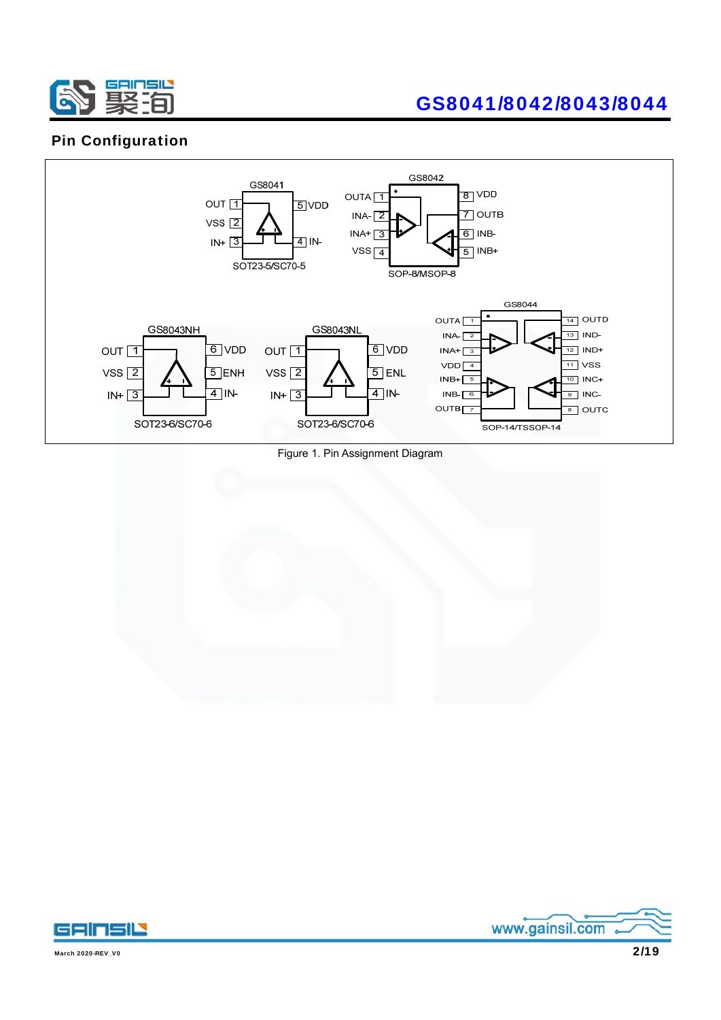

### Pin Configuration



Figure 1. Pin Assignment Diagram





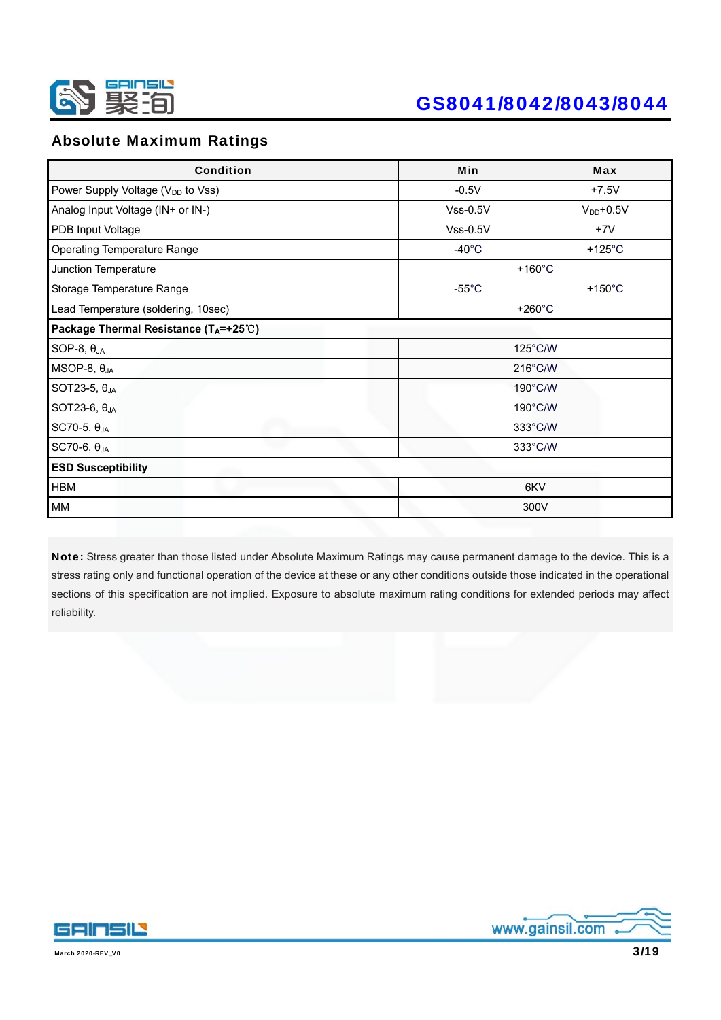

### Absolute Maximum Ratings

| <b>Condition</b>                                        | Min               | <b>Max</b>        |  |
|---------------------------------------------------------|-------------------|-------------------|--|
| Power Supply Voltage (V <sub>DD</sub> to Vss)           | $-0.5V$           | $+7.5V$           |  |
| Analog Input Voltage (IN+ or IN-)                       | $Vss-0.5V$        | $V_{DD}$ +0.5V    |  |
| PDB Input Voltage                                       | $Vss-0.5V$        | $+7V$             |  |
| <b>Operating Temperature Range</b>                      | $-40^{\circ}$ C   | +125 $^{\circ}$ C |  |
| Junction Temperature                                    | $+160^{\circ}$ C  |                   |  |
| Storage Temperature Range                               | $-55^{\circ}$ C   | $+150^{\circ}$ C  |  |
| Lead Temperature (soldering, 10sec)<br>$+260^{\circ}$ C |                   |                   |  |
| Package Thermal Resistance (TA=+25℃)                    |                   |                   |  |
| SOP-8, $\theta_{JA}$                                    | 125°C/W           |                   |  |
| $MSOP-8, \theta_{JA}$                                   | $216^{\circ}$ C/W |                   |  |
| SOT23-5, $\theta_{JA}$                                  | 190°C/W           |                   |  |
| SOT23-6, $\theta_{JA}$                                  | 190°C/W           |                   |  |
| SC70-5, θ <sub>JA</sub>                                 | 333°C/W           |                   |  |
| SC70-6, $\theta_{JA}$                                   | 333°C/W           |                   |  |
| <b>ESD Susceptibility</b>                               |                   |                   |  |
| <b>HBM</b><br>6KV                                       |                   |                   |  |
| MM                                                      | 300V              |                   |  |

Note: Stress greater than those listed under Absolute Maximum Ratings may cause permanent damage to the device. This is a stress rating only and functional operation of the device at these or any other conditions outside those indicated in the operational sections of this specification are not implied. Exposure to absolute maximum rating conditions for extended periods may affect reliability.



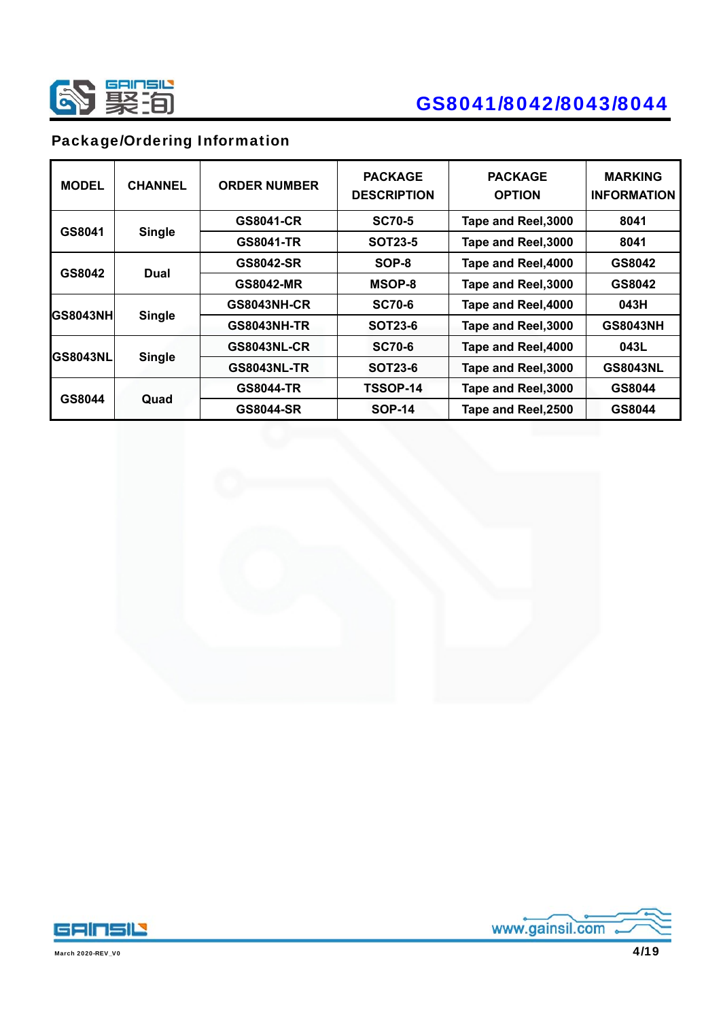

### Package/Ordering Information

| <b>MODEL</b>    | <b>CHANNEL</b> | <b>ORDER NUMBER</b> | <b>PACKAGE</b><br><b>DESCRIPTION</b> | <b>PACKAGE</b><br><b>OPTION</b> | <b>MARKING</b><br><b>INFORMATION</b> |
|-----------------|----------------|---------------------|--------------------------------------|---------------------------------|--------------------------------------|
|                 |                | <b>GS8041-CR</b>    | <b>SC70-5</b>                        | Tape and Reel, 3000             | 8041                                 |
| GS8041          | <b>Single</b>  | <b>GS8041-TR</b>    | <b>SOT23-5</b>                       | Tape and Reel, 3000             | 8041                                 |
|                 |                | <b>GS8042-SR</b>    | SOP-8                                | Tape and Reel, 4000             | GS8042                               |
| GS8042<br>Dual  |                | <b>GS8042-MR</b>    | MSOP-8                               | Tape and Reel, 3000             | GS8042                               |
|                 |                | <b>GS8043NH-CR</b>  | <b>SC70-6</b>                        | Tape and Reel, 4000             | 043H                                 |
| <b>GS8043NH</b> | <b>Single</b>  | <b>GS8043NH-TR</b>  | <b>SOT23-6</b>                       | Tape and Reel, 3000             | <b>GS8043NH</b>                      |
|                 |                | <b>GS8043NL-CR</b>  | <b>SC70-6</b>                        | Tape and Reel, 4000             | 043L                                 |
| <b>GS8043NL</b> | <b>Single</b>  | <b>GS8043NL-TR</b>  | <b>SOT23-6</b>                       | Tape and Reel, 3000             | <b>GS8043NL</b>                      |
|                 |                | <b>GS8044-TR</b>    | TSSOP-14                             | Tape and Reel, 3000             | GS8044                               |
| GS8044          | Quad           | <b>GS8044-SR</b>    | <b>SOP-14</b>                        | Tape and Reel, 2500             | GS8044                               |





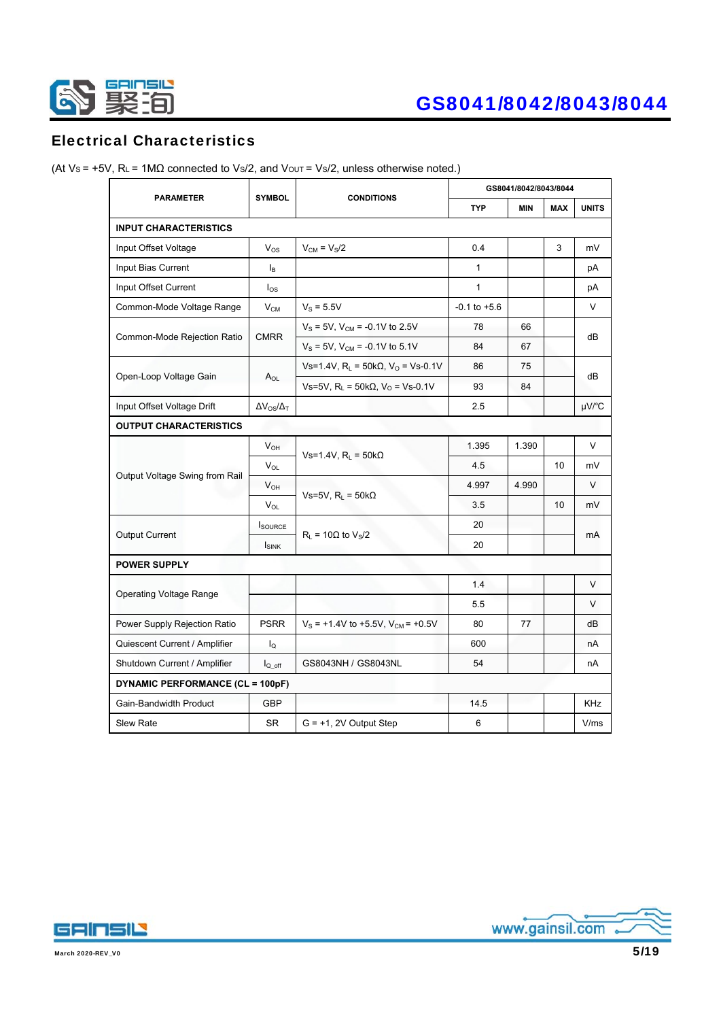

### Electrical Characteristics

|                                         |                          |                                                 | GS8041/8042/8043/8044 |            |                 |              |  |
|-----------------------------------------|--------------------------|-------------------------------------------------|-----------------------|------------|-----------------|--------------|--|
| <b>PARAMETER</b>                        | <b>SYMBOL</b>            | <b>CONDITIONS</b>                               | <b>TYP</b>            | <b>MIN</b> | <b>MAX</b>      | <b>UNITS</b> |  |
| <b>INPUT CHARACTERISTICS</b>            |                          |                                                 |                       |            |                 |              |  |
| Input Offset Voltage                    | $V_{OS}$                 | $V_{CM} = V_S/2$                                | 0.4                   |            | 3               | mV           |  |
| Input Bias Current                      | l <sub>B</sub>           |                                                 | $\mathbf{1}$          |            |                 | рA           |  |
| Input Offset Current                    | $I_{OS}$                 |                                                 | $\mathbf{1}$          |            |                 | рA           |  |
| Common-Mode Voltage Range               | $V_{CM}$                 | $V_s = 5.5V$                                    | $-0.1$ to $+5.6$      |            |                 | V            |  |
|                                         |                          | $V_S = 5V$ , $V_{CM} = -0.1V$ to 2.5V           | 78                    | 66         |                 |              |  |
| Common-Mode Rejection Ratio             | <b>CMRR</b>              | $V_S = 5V$ , $V_{CM} = -0.1V$ to 5.1V           | 84                    | 67         |                 | dВ           |  |
|                                         |                          | Vs=1.4V, $R_L$ = 50kΩ, V <sub>O</sub> = Vs-0.1V | 86                    | 75         |                 | dB           |  |
| Open-Loop Voltage Gain                  | $A_{OL}$                 | Vs=5V, $R_L$ = 50kΩ, V <sub>o</sub> = Vs-0.1V   | 93                    | 84         |                 |              |  |
| Input Offset Voltage Drift              | $\Delta V_{OS}/\Delta_T$ |                                                 | 2.5                   |            |                 | $\mu$ V/°C   |  |
| <b>OUTPUT CHARACTERISTICS</b>           |                          |                                                 |                       |            |                 |              |  |
| Output Voltage Swing from Rail          | $V_{OH}$                 |                                                 | 1.395                 | 1.390      |                 | V            |  |
|                                         | $V_{OL}$                 | Vs=1.4V, $RL$ = 50k $\Omega$                    | 4.5                   |            | 10              | mV           |  |
|                                         | $V_{OH}$                 |                                                 | 4.997                 | 4.990      |                 | $\vee$       |  |
|                                         | V <sub>OL</sub>          | Vs=5V, $R_L$ = 50k $\Omega$                     | 3.5                   |            | 10 <sup>1</sup> | mV           |  |
|                                         | <b>SOURCE</b>            |                                                 | 20                    |            |                 |              |  |
| <b>Output Current</b>                   | <b>ISINK</b>             | $R_1 = 10\Omega$ to $V_S/2$                     | 20                    |            |                 | mA           |  |
| <b>POWER SUPPLY</b>                     |                          |                                                 |                       |            |                 |              |  |
|                                         |                          |                                                 | 1.4                   |            |                 | V            |  |
| <b>Operating Voltage Range</b>          |                          |                                                 | 5.5                   |            |                 | $\vee$       |  |
| Power Supply Rejection Ratio            | <b>PSRR</b>              | $V_S$ = +1.4V to +5.5V, $V_{CM}$ = +0.5V        | 80                    | 77         |                 | dВ           |  |
| Quiescent Current / Amplifier           | $I_{\Omega}$             |                                                 | 600                   |            |                 | nA           |  |
| Shutdown Current / Amplifier            | $I_{Q \text{ off}}$      | GS8043NH / GS8043NL                             | 54                    |            |                 | nA           |  |
| <b>DYNAMIC PERFORMANCE (CL = 100pF)</b> |                          |                                                 |                       |            |                 |              |  |
| Gain-Bandwidth Product                  | <b>GBP</b>               |                                                 | 14.5                  |            |                 | KHz          |  |
| <b>Slew Rate</b>                        | <b>SR</b>                | $G = +1$ , 2V Output Step                       | 6                     |            |                 | V/ms         |  |

(At Vs = +5V, RL = 1M $\Omega$  connected to Vs/2, and Vout = Vs/2, unless otherwise noted.)



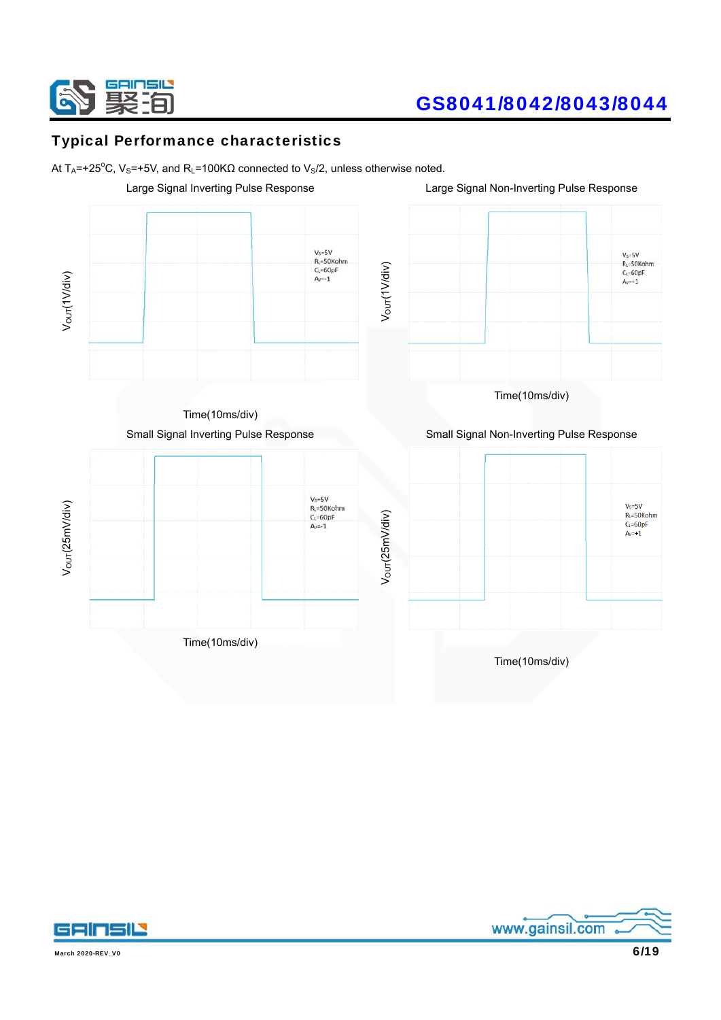

### Typical Performance characteristics

At T<sub>A</sub>=+25<sup>°</sup>C, V<sub>S</sub>=+5V, and R<sub>L</sub>=100KΩ connected to V<sub>S</sub>/2, unless otherwise noted.





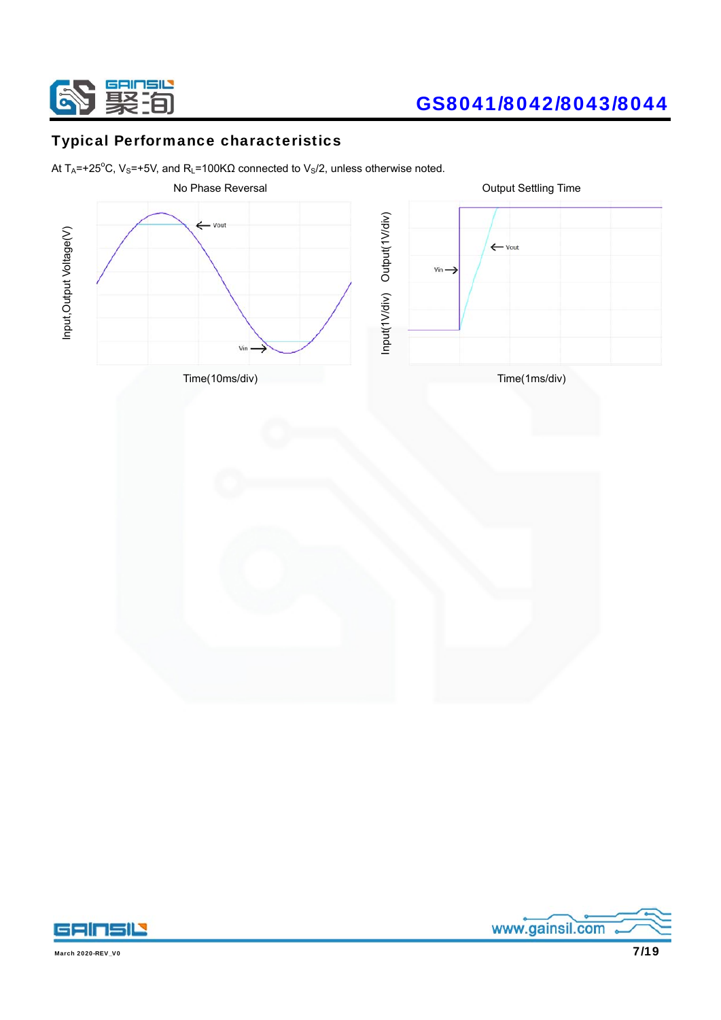

### Typical Performance characteristics

At T<sub>A</sub>=+25<sup>°</sup>C, V<sub>S</sub>=+5V, and R<sub>L</sub>=100KΩ connected to V<sub>S</sub>/2, unless otherwise noted.





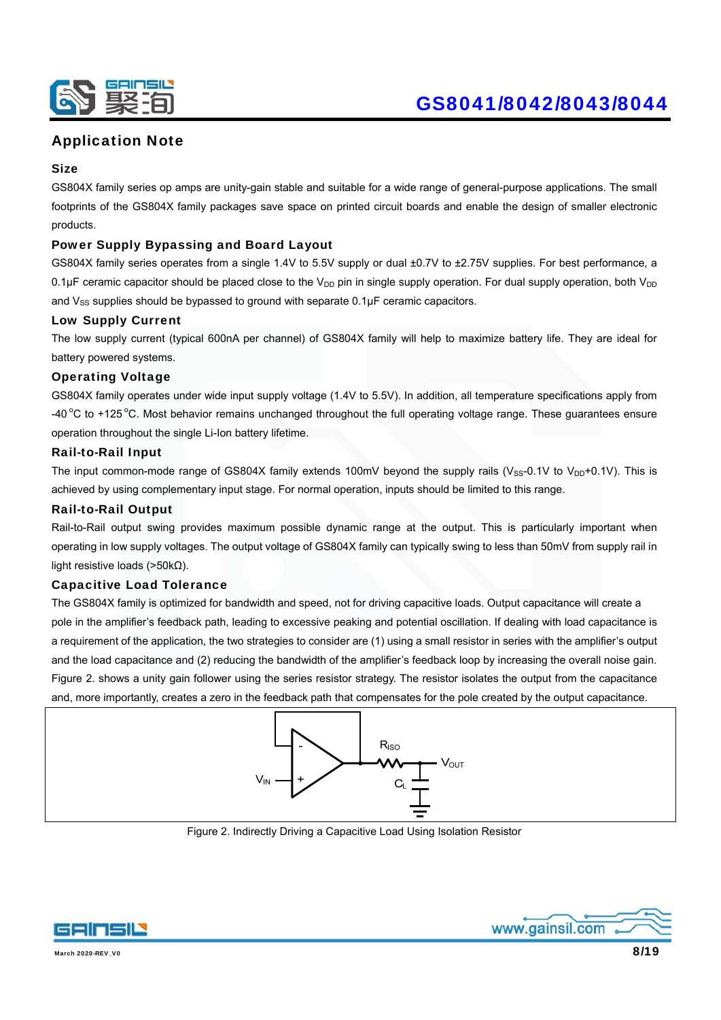

### Application Note

#### **Size**

GS804X family series op amps are unity-gain stable and suitable for a wide range of general-purpose applications. The small footprints of the GS804X family packages save space on printed circuit boards and enable the design of smaller electronic products.

#### Power Supply Bypassing and Board Layout

GS804X family series operates from a single 1.4V to 5.5V supply or dual ±0.7V to ±2.75V supplies. For best performance, a 0.1µF ceramic capacitor should be placed close to the  $V_{DD}$  pin in single supply operation. For dual supply operation, both  $V_{DD}$ and  $V_{SS}$  supplies should be bypassed to ground with separate  $0.1 \mu F$  ceramic capacitors.

#### Low Supply Current

The low supply current (typical 600nA per channel) of GS804X family will help to maximize battery life. They are ideal for battery powered systems.

#### Operating Voltage

GS804X family operates under wide input supply voltage (1.4V to 5.5V). In addition, all temperature specifications apply from  $-40^{\circ}$ C to +125 °C. Most behavior remains unchanged throughout the full operating voltage range. These guarantees ensure operation throughout the single Li-Ion battery lifetime.

#### Rail-to-Rail Input

The input common-mode range of GS804X family extends 100mV beyond the supply rails ( $V_{SS}$ -0.1V to  $V_{DD}$ +0.1V). This is achieved by using complementary input stage. For normal operation, inputs should be limited to this range.

#### Rail-to-Rail Output

Rail-to-Rail output swing provides maximum possible dynamic range at the output. This is particularly important when operating in low supply voltages. The output voltage of GS804X family can typically swing to less than 50mV from supply rail in light resistive loads (>50kΩ).

#### Capacitive Load Tolerance

The GS804X family is optimized for bandwidth and speed, not for driving capacitive loads. Output capacitance will create a pole in the amplifier's feedback path, leading to excessive peaking and potential oscillation. If dealing with load capacitance is a requirement of the application, the two strategies to consider are (1) using a small resistor in series with the amplifier's output and the load capacitance and (2) reducing the bandwidth of the amplifier's feedback loop by increasing the overall noise gain. Figure 2. shows a unity gain follower using the series resistor strategy. The resistor isolates the output from the capacitance and, more importantly, creates a zero in the feedback path that compensates for the pole created by the output capacitance.



Figure 2. Indirectly Driving a Capacitive Load Using Isolation Resistor



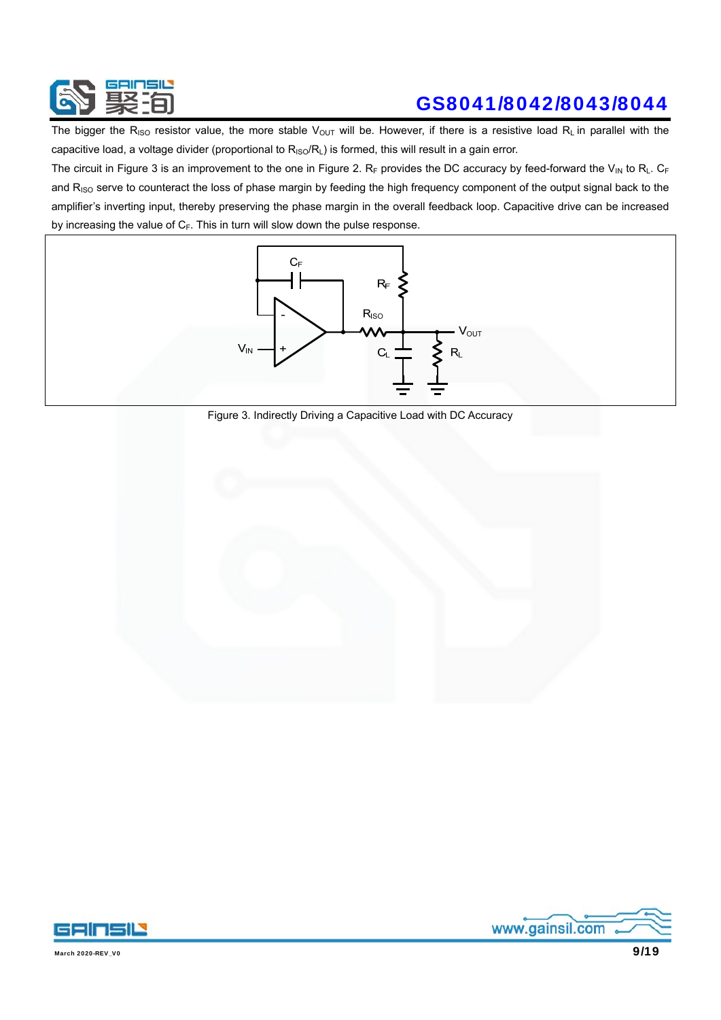

The bigger the R<sub>ISO</sub> resistor value, the more stable V<sub>OUT</sub> will be. However, if there is a resistive load R<sub>L</sub> in parallel with the capacitive load, a voltage divider (proportional to  $R_{ISO}/R_L$ ) is formed, this will result in a gain error.

The circuit in Figure 3 is an improvement to the one in Figure 2. RF provides the DC accuracy by feed-forward the V<sub>IN</sub> to R<sub>L</sub>. CF and R<sub>ISO</sub> serve to counteract the loss of phase margin by feeding the high frequency component of the output signal back to the amplifier's inverting input, thereby preserving the phase margin in the overall feedback loop. Capacitive drive can be increased by increasing the value of  $C_F$ . This in turn will slow down the pulse response.



Figure 3. Indirectly Driving a Capacitive Load with DC Accuracy



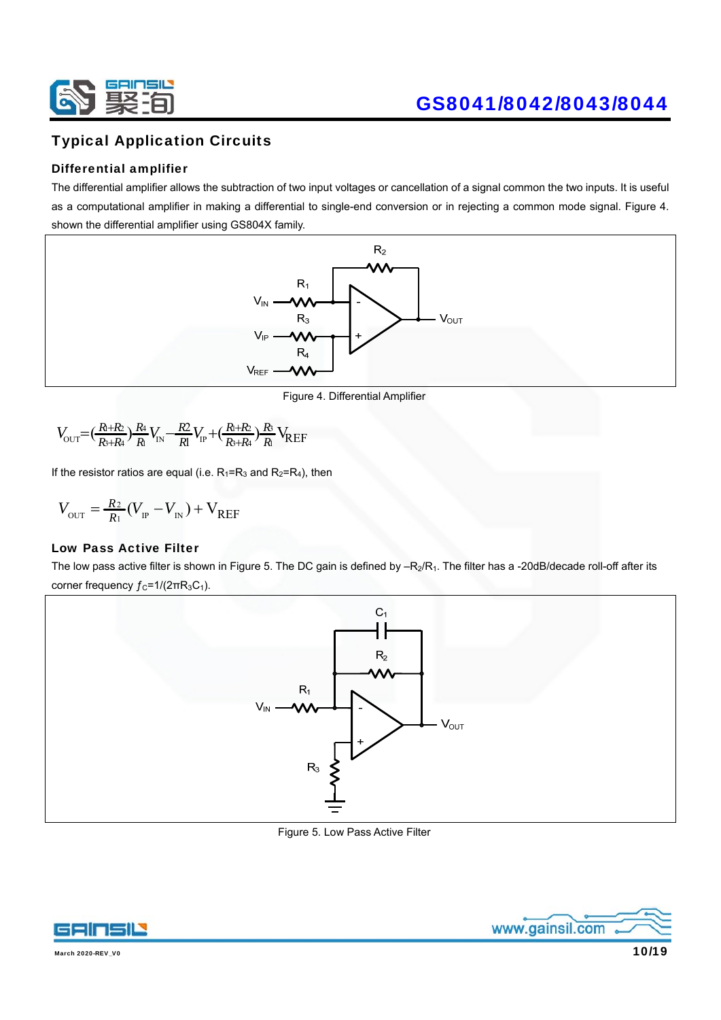

### Typical Application Circuits

#### Differential amplifier

The differential amplifier allows the subtraction of two input voltages or cancellation of a signal common the two inputs. It is useful as a computational amplifier in making a differential to single-end conversion or in rejecting a common mode signal. Figure 4. shown the differential amplifier using GS804X family.



Figure 4. Differential Amplifier

$$
V_{\text{OUT}} = \left(\frac{R_{\text{+}}R_{\text{2}}}{R_{\text{+}}R_{\text{4}}}\right)\frac{R_{\text{4}}}{R_{\text{1}}}V_{\text{IN}} - \frac{R_{\text{2}}}{R_{\text{1}}}V_{\text{IP}} + \left(\frac{R_{\text{+}}R_{\text{2}}}{R_{\text{+}}R_{\text{4}}}\right)\frac{R_{\text{3}}}{R_{\text{1}}}V_{\text{REF}}
$$

If the resistor ratios are equal (i.e.  $R_1=R_3$  and  $R_2=R_4$ ), then

$$
V_{\text{out}} = \frac{R_2}{R_1} (V_{\text{IP}} - V_{\text{IN}}) + V_{\text{REF}}
$$

#### Low Pass Active Filter

The low pass active filter is shown in Figure 5. The DC gain is defined by  $-R_2/R_1$ . The filter has a -20dB/decade roll-off after its corner frequency  $f_c = 1/(2\pi R_3C_1)$ .



Figure 5. Low Pass Active Filter



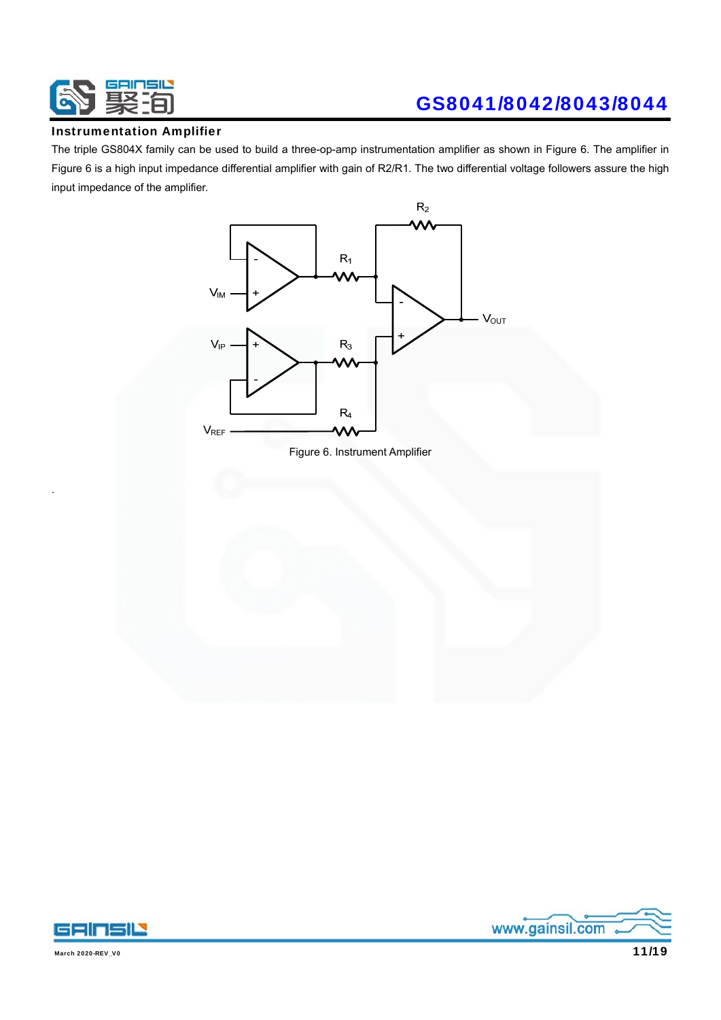

#### Instrumentation Amplifier

The triple GS804X family can be used to build a three-op-amp instrumentation amplifier as shown in Figure 6. The amplifier in Figure 6 is a high input impedance differential amplifier with gain of R2/R1. The two differential voltage followers assure the high input impedance of the amplifier.







.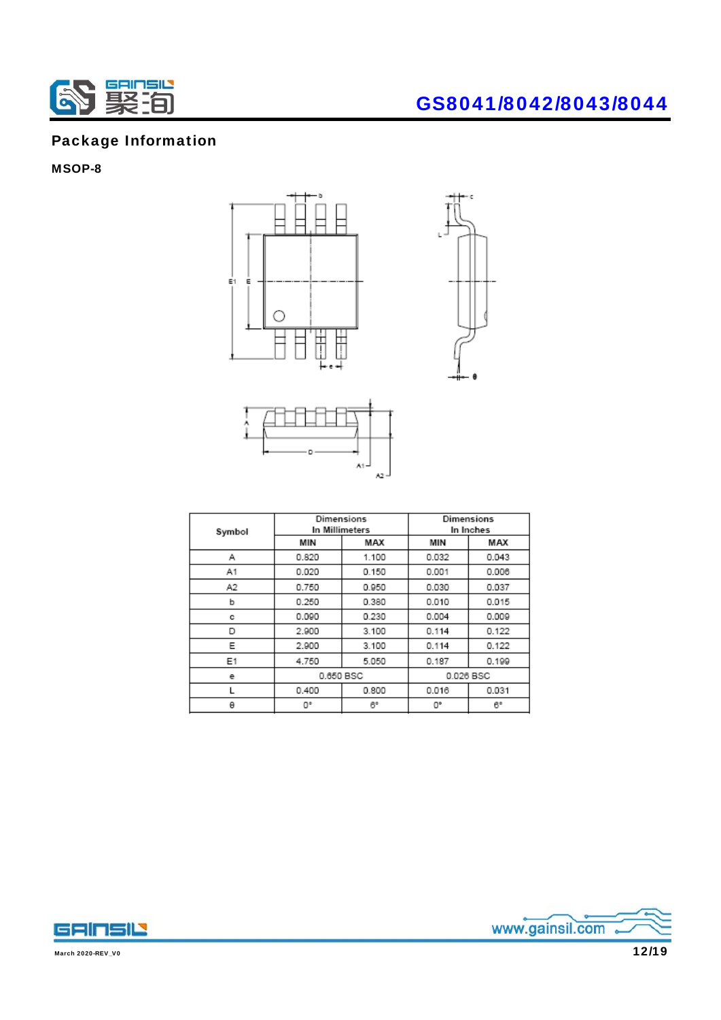

### Package Information

### MSOP-8







| Symbol |           | Dimensions<br>In Millimeters |           | Dimensions<br>In Inches |  |
|--------|-----------|------------------------------|-----------|-------------------------|--|
|        | MIN       | MAX                          | MIN       | MAX                     |  |
| Α      | 0.820     | 1.100                        | 0.032     | 0.043                   |  |
| A1     | 0.020     | 0.150                        | 0.001     | 0.006                   |  |
| А2     | 0.750     | 0.950                        | 0.030     | 0.037                   |  |
| b      | 0.250     | 0.380                        | 0.010     | 0.015                   |  |
| с      | 0.090     | 0.230                        | 0.004     | 0.009                   |  |
| D      | 2.900     | 3.100                        | 0.114     | 0.122                   |  |
| Е      | 2.900     | 3.100                        | 0.114     | 0.122                   |  |
| E1     | 4.750     | 5.050                        | 0.187     | 0.199                   |  |
| е      | 0.650 BSC |                              | 0.026 BSC |                         |  |
|        | 0.400     | 0.800                        | 0.016     | 0.031                   |  |
| θ      | O٠        | 6°                           | 0°        | 6°                      |  |



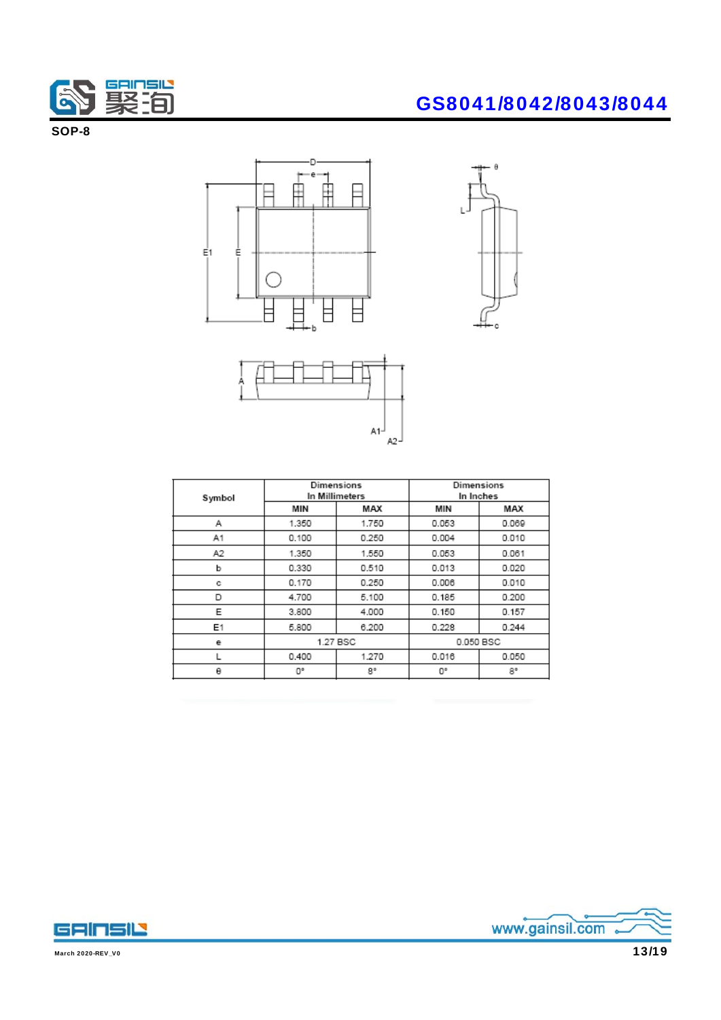

SOP-8







| Symbol |          | Dimensions<br>In Millimeters | Dimensions<br>In Inches |       |
|--------|----------|------------------------------|-------------------------|-------|
|        | MIN      | MAX                          | MIN                     | MAX   |
| Α      | 1.350    | 1.750                        | 0.053                   | 0.069 |
| Α1     | 0.100    | 0.250                        | 0.004                   | 0.010 |
| A2     | 1.350    | 1.550                        | 0.053                   | 0.061 |
| b      | 0.330    | 0.510                        | 0.013                   | 0.020 |
| с      | 0.170    | 0.250                        | 0.006                   | 0.010 |
| D      | 4.700    | 5.100                        | 0.185                   | 0.200 |
| Е      | 3.800    | 4.000                        | 0.150                   | 0.157 |
| Ε1     | 5,800    | 6.200                        | 0.228                   | 0.244 |
| е      | 1.27 BSC |                              | 0.050 BSC               |       |
| L      | 0.400    | 1.270                        | 0.016                   | 0.050 |
| θ      | 0°       | 8°                           | 0°                      | 8°    |



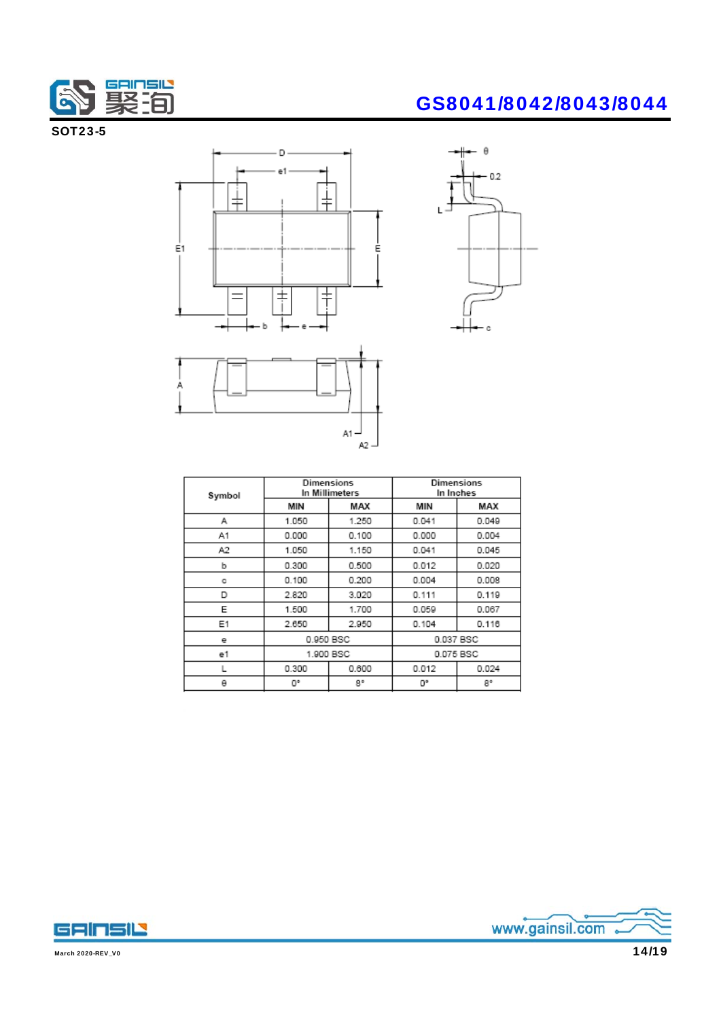

SOT23-5







| Symbol |           | Dimensions<br>In Millimeters |           | Dimensions<br>In Inches |
|--------|-----------|------------------------------|-----------|-------------------------|
|        | MIN       | MAX                          | MIN       | MAX                     |
| А      | 1.050     | 1.250                        | 0.041     | 0.049                   |
| A1     | 0.000     | 0.100                        | 0.000     | 0.004                   |
| A2     | 1.050     | 1.150                        | 0.041     | 0.045                   |
| b      | 0.300     | 0.500                        | 0.012     | 0.020                   |
| с      | 0.100     | 0.200                        | 0.004     | 0.008                   |
| D      | 2.820     | 3.020                        | 0.111     | 0.119                   |
| E      | 1.500     | 1.700                        | 0.059     | 0.067                   |
| Ε1     | 2.650     | 2.950                        | 0.104     | 0.116                   |
| е      | 0.950 BSC |                              | 0.037 BSC |                         |
| e1     | 1.900 BSC |                              |           | 0.075 BSC               |
| L      | 0.300     | 0.600                        | 0.012     | 0.024                   |
| θ      | O۰        | 8°                           | O۴        | 8°                      |
|        |           |                              |           |                         |



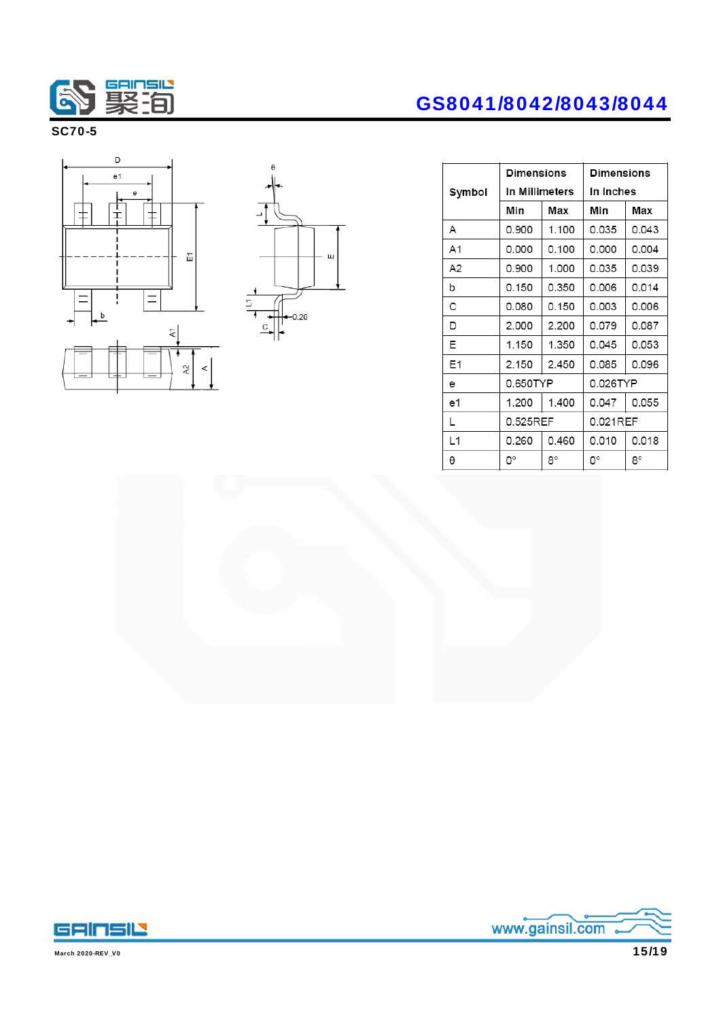

### SC70-5





## GS8041/8042/8043/8044

|                | <b>Dimensions</b> |                | <b>Dimensions</b> |       |  |
|----------------|-------------------|----------------|-------------------|-------|--|
| Symbol         | In Millimeters    |                | In Inches         |       |  |
|                | Min               | Max            | Min               | Max   |  |
| А              | 0.900             | 1.100          | 0.035             | 0.043 |  |
| A1             | 0.000             | 0.100          | 0.000             | 0.004 |  |
| A <sub>2</sub> | 0.900             | 1.000          | 0.035             | 0.039 |  |
| b              | 0.150             | 0.006<br>0.350 |                   | 0.014 |  |
| с              | 0.080             | 0.150          | 0.003             | 0.006 |  |
| D              | 2.000             | 2.200          | 0.079             | 0.087 |  |
| Ε              | 1.150             | 1.350          | 0.045             | 0.053 |  |
| E1             | 2.150             | 2.450          | 0.085<br>0.096    |       |  |
| e              | 0.650TYP          |                | 0.026TYP          |       |  |
| e1             | 1.200             | 1.400          | 0.047             | 0.055 |  |
| L              | 0.525REF          |                | 0.021REF          |       |  |
| L1             | 0.260             | 0.460          | 0.010             | 0.018 |  |
| θ              | О°<br>8°          |                | 0°                | 8°    |  |





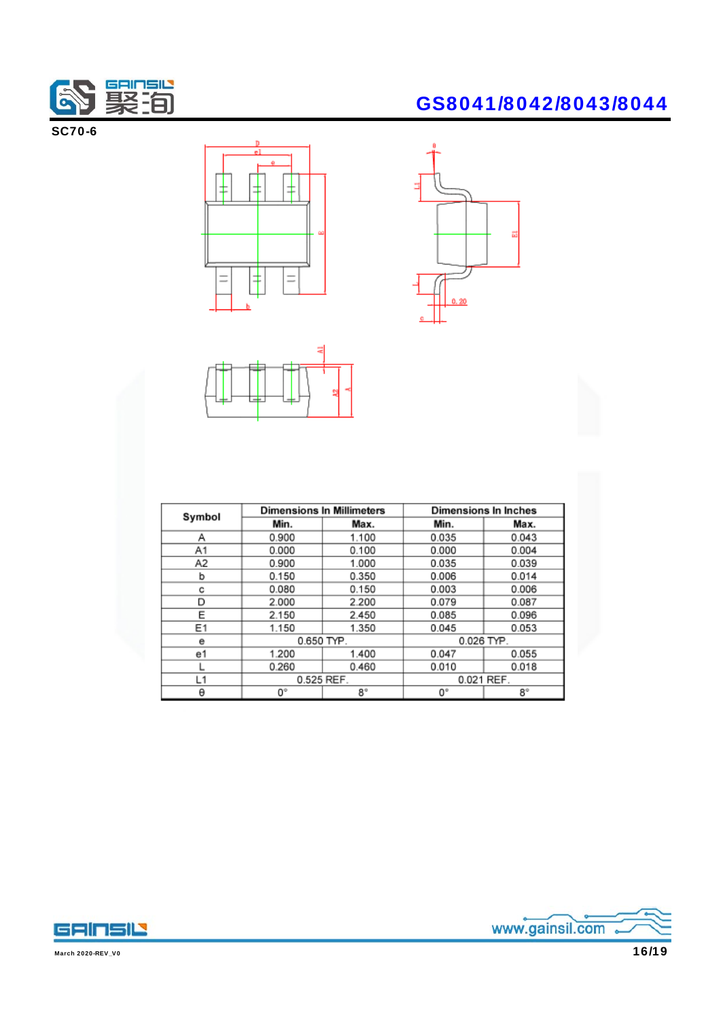

SC70-6

# $\frac{1}{\pm}$ ₹ ⇟ ╠╈  $=$



| Symbol         |            | <b>Dimensions In Millimeters</b><br><b>Dimensions In Inches</b> |            |       |  |
|----------------|------------|-----------------------------------------------------------------|------------|-------|--|
|                | Min.       | Max.                                                            | Min.       | Max.  |  |
| А              | 0.900      | 1.100                                                           | 0.035      | 0.043 |  |
| A1             | 0.000      | 0.100                                                           | 0.000      | 0.004 |  |
| A <sub>2</sub> | 0.900      | 1.000                                                           | 0.035      | 0.039 |  |
| b              | 0.150      | 0.350                                                           | 0.006      | 0.014 |  |
| с              | 0.080      | 0.150                                                           | 0.003      | 0.006 |  |
| D              | 2.000      | 2.200                                                           | 0.079      | 0.087 |  |
| Е              | 2.150      | 2.450                                                           | 0.085      | 0.096 |  |
| E <sub>1</sub> | 1.150      | 1.350                                                           | 0.045      | 0.053 |  |
| е              | 0.650 TYP. |                                                                 | 0.026 TYP. |       |  |
| e1             | 1.200      | 1.400                                                           | 0.047      | 0.055 |  |
|                | 0.260      | 0.460                                                           | 0.010      | 0.018 |  |
| L1             | 0.525 REF. |                                                                 | 0.021 REF. |       |  |
| θ              | 0°         | $8^\circ$                                                       | 0°         | 8°    |  |

## GS8041/8042/8043/8044



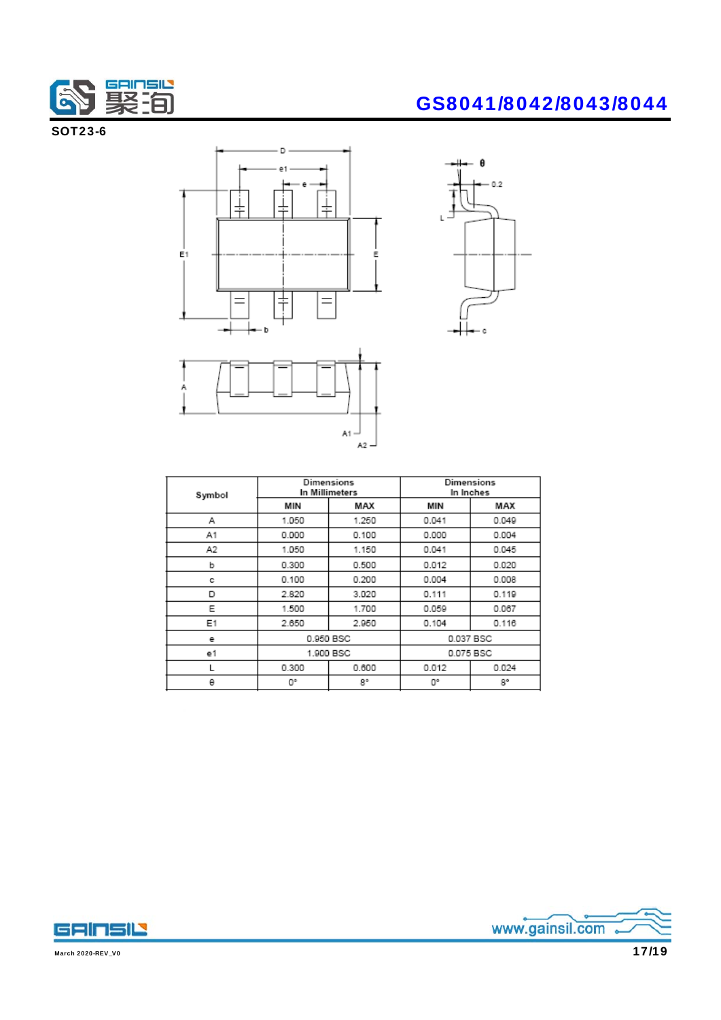

SOT23-6





| Symbol | Dimensions<br>In Millimeters |           | Dimensions<br>In Inches |           |  |
|--------|------------------------------|-----------|-------------------------|-----------|--|
|        | MIN                          | MAX       | MIN                     | MAX       |  |
| Α      | 1.050                        | 1.250     | 0.041                   | 0.049     |  |
| A1     | 0.000                        | 0.100     | 0.000                   | 0.004     |  |
| А2     | 1.050                        | 1.150     | 0.041                   | 0.045     |  |
| b      | 0.300                        | 0.500     | 0.012                   | 0.020     |  |
| с      | 0.100                        | 0.200     | 0.004                   | 0.008     |  |
| D      | 2.820                        | 3.020     | 0.111                   | 0.119     |  |
| Ε      | 1.500                        | 1.700     | 0.059                   | 0.067     |  |
| E1     | 2.650                        | 2.950     | 0.104                   | 0.116     |  |
| е      |                              | 0.950 BSC |                         | 0.037 BSC |  |
| e1     | 1.900 BSC                    |           | 0.075 BSC               |           |  |
|        | 0.300                        | 0.600     | 0.012                   | 0.024     |  |
| θ      | О°                           | 8°        | O°                      | 8°        |  |





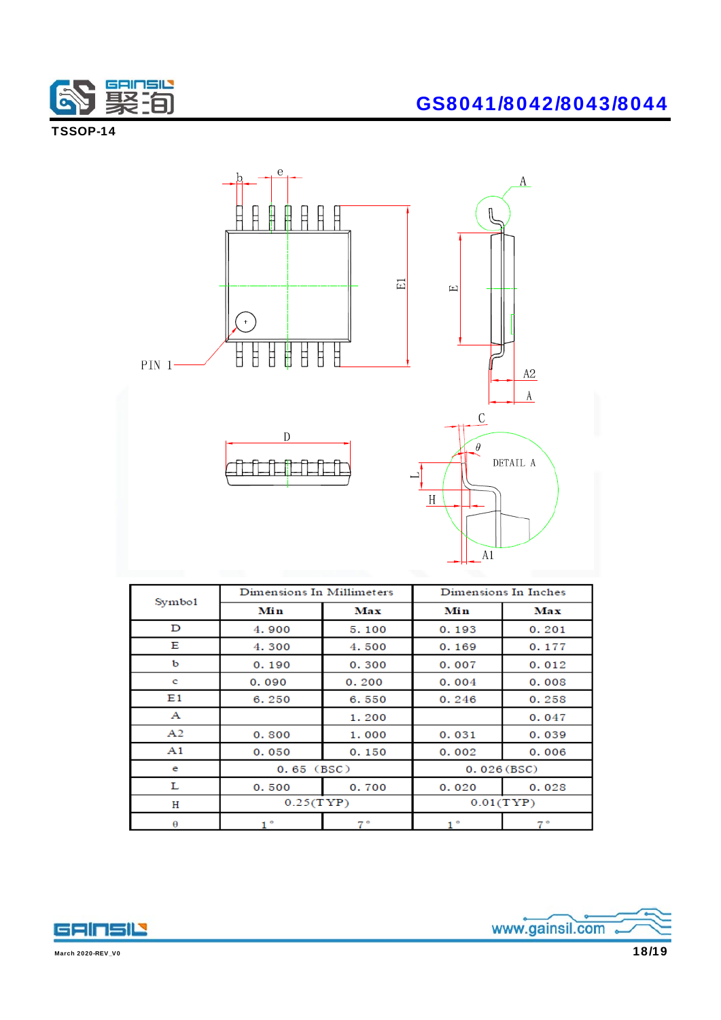

TSSOP-14



| Symbo1       | Dimensions In Millimeters |             | Dimensions In Inches |             |
|--------------|---------------------------|-------------|----------------------|-------------|
|              | Min                       | Max         | Min                  | Max         |
| D            | 4.900                     | 5.100       | 0.193                | 0.201       |
| Е            | 4.300                     | 4.500       | 0.169                | 0.177       |
| b            | 0.190                     | 0.300       | 0.007                | 0.012       |
| c            | 0.090                     | 0.200       | 0.004                | 0.008       |
| E1           | 6.250                     | 6.550       | 0.246                | 0.258       |
| $\mathbf{A}$ |                           | 1.200       |                      | 0.047       |
| A2           | 0.800                     | 1.000       | 0.031                | 0.039       |
| A1           | 0.050                     | 0.150       | 0.002                | 0.006       |
| e            | $0.65$ (BSC)              |             | 0.026(BSC)           |             |
| L            | 0.500                     | 0.700       | 0.020                | 0.028       |
| н            | 0.25(TYP)                 |             |                      | 0.01(TYP)   |
| θ            | ۰                         | $7^{\circ}$ |                      | $7^{\circ}$ |